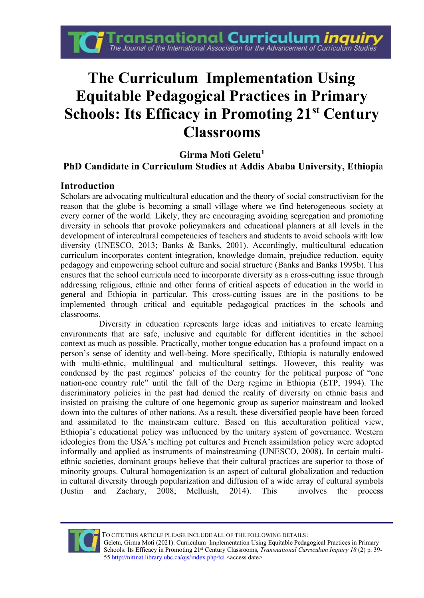

# **The Curriculum Implementation Using Equitable Pedagogical Practices in Primary Schools: Its Efficacy in Promoting 21st Century Classrooms**

# **Girma Moti Geletu<sup>1</sup>**

# **PhD Candidate in Curriculum Studies at Addis Ababa University, Ethiopi**a

#### **Introduction**

Scholars are advocating multicultural education and the theory of social constructivism for the reason that the globe is becoming a small village where we find heterogeneous society at every corner of the world. Likely, they are encouraging avoiding segregation and promoting diversity in schools that provoke policymakers and educational planners at all levels in the development of intercultural competencies of teachers and students to avoid schools with low diversity (UNESCO, 2013; Banks & Banks, 2001). Accordingly, multicultural education curriculum incorporates content integration, knowledge domain, prejudice reduction, equity pedagogy and empowering school culture and social structure (Banks and Banks 1995b). This ensures that the school curricula need to incorporate diversity as a cross-cutting issue through addressing religious, ethnic and other forms of critical aspects of education in the world in general and Ethiopia in particular. This cross-cutting issues are in the positions to be implemented through critical and equitable pedagogical practices in the schools and classrooms.

Diversity in education represents large ideas and initiatives to create learning environments that are safe, inclusive and equitable for different identities in the school context as much as possible. Practically, mother tongue education has a profound impact on a person's sense of identity and well-being. More specifically, Ethiopia is naturally endowed with multi-ethnic, multilingual and multicultural settings. However, this reality was condensed by the past regimes' policies of the country for the political purpose of "one nation-one country rule" until the fall of the Derg regime in Ethiopia (ETP, 1994). The discriminatory policies in the past had denied the reality of diversity on ethnic basis and insisted on praising the culture of one hegemonic group as superior mainstream and looked down into the cultures of other nations. As a result, these diversified people have been forced and assimilated to the mainstream culture. Based on this acculturation political view, Ethiopia's educational policy was influenced by the unitary system of governance. Western ideologies from the USA's melting pot cultures and French assimilation policy were adopted informally and applied as instruments of mainstreaming (UNESCO, 2008). In certain multiethnic societies, dominant groups believe that their cultural practices are superior to those of minority groups. Cultural homogenization is an aspect of [cultural globalization](https://en.wikipedia.org/wiki/Cultural_globalization) and reduction in [cultural diversity](https://en.wikipedia.org/wiki/Cultural_diversity) through popularization and diffusion of a wide array of cultural symbols (Justin and Zachary, 2008; Melluish, 2014). This involves the process



TO CITE THIS ARTICLE PLEASE INCLUDE ALL OF THE FOLLOWING DETAILS:

Geletu, Girma Moti (2021). Curriculum Implementation Using Equitable Pedagogical Practices in Primary Schools: Its Efficacy in Promoting 21st Century Classrooms, *Transnational Curriculum Inquiry 18* (2) p. 39- 55 http://nitinat.library.ubc.ca/ojs/index.php/tci <access date>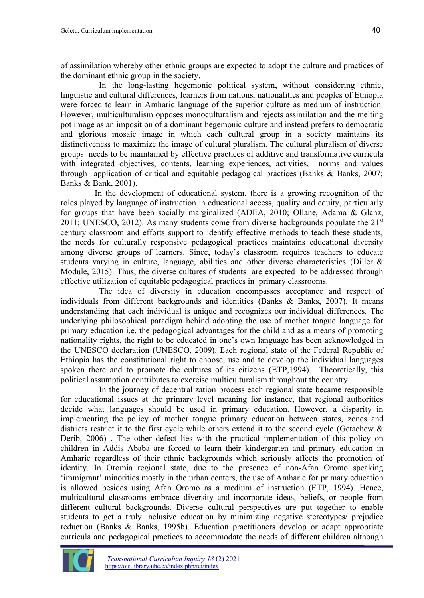of [assimilation](https://en.wikipedia.org/wiki/Cultural_assimilation) whereby other ethnic groups are expected to adopt the culture and practices of the dominant ethnic group in the society.

In the long-lasting hegemonic political system, without considering ethnic, linguistic and cultural differences, learners from nations, nationalities and peoples of Ethiopia were forced to learn in Amharic language of the superior culture as medium of instruction. However, multiculturalism opposes monoculturalism and rejects assimilation and the melting pot image as an imposition of a dominant hegemonic culture and instead prefers to democratic and glorious mosaic image in which each cultural group in a society maintains its distinctiveness to maximize the image of cultural pluralism. The cultural pluralism of diverse groups needs to be maintained by effective practices of additive and transformative curricula with integrated objectives, contents, learning experiences, activities, norms and values through application of critical and equitable pedagogical practices (Banks & Banks, 2007; Banks & Bank, 2001).

In the development of educational system, there is a growing recognition of the roles played by language of instruction in educational access, quality and equity, particularly for groups that have been socially marginalized (ADEA, 2010; Ollane, Adama & Glanz, 2011; UNESCO, 2012). As many students come from diverse backgrounds populate the  $21<sup>st</sup>$ century classroom and efforts support to identify effective methods to teach these students, the needs for culturally responsive pedagogical practices maintains educational diversity among diverse groups of learners. Since, today's classroom requires teachers to educate students varying in culture, language, abilities and other diverse characteristics (Diller & Module, 2015). Thus, the diverse cultures of students are expected to be addressed through effective utilization of equitable pedagogical practices in primary classrooms.

The idea of diversity in education encompasses acceptance and respect of individuals from different backgrounds and identities (Banks & Banks, 2007). It means understanding that each individual is unique and recognizes our individual differences. The underlying philosophical paradigm behind adopting the use of mother tongue language for primary education i.e. the pedagogical advantages for the child and as a means of promoting nationality rights, the right to be educated in one's own language has been acknowledged in the UNESCO declaration (UNESCO, 2009). Each regional state of the Federal Republic of Ethiopia has the constitutional right to choose, use and to develop the individual languages spoken there and to promote the cultures of its citizens (ETP,1994). Theoretically, this political assumption contributes to exercise multiculturalism throughout the country.

In the journey of decentralization process each regional state became responsible for educational issues at the primary level meaning for instance, that regional authorities decide what languages should be used in primary education. However, a disparity in implementing the policy of mother tongue primary education between states, zones and districts restrict it to the first cycle while others extend it to the second cycle (Getachew & Derib, 2006) . The other defect lies with the practical implementation of this policy on children in Addis Ababa are forced to learn their kindergarten and primary education in Amharic regardless of their ethnic backgrounds which seriously affects the promotion of identity. In Oromia regional state, due to the presence of non-Afan Oromo speaking 'immigrant' minorities mostly in the urban centers, the use of Amharic for primary education is allowed besides using Afan Oromo as a medium of instruction (ETP, 1994). Hence, multicultural classrooms embrace diversity and incorporate ideas, beliefs, or people from different cultural backgrounds. Diverse cultural perspectives are put together to enable students to get a truly inclusive education by minimizing negative stereotypes/ prejudice reduction (Banks & Banks, 1995b). Education practitioners develop or adapt appropriate curricula and pedagogical practices to accommodate the needs of different children although

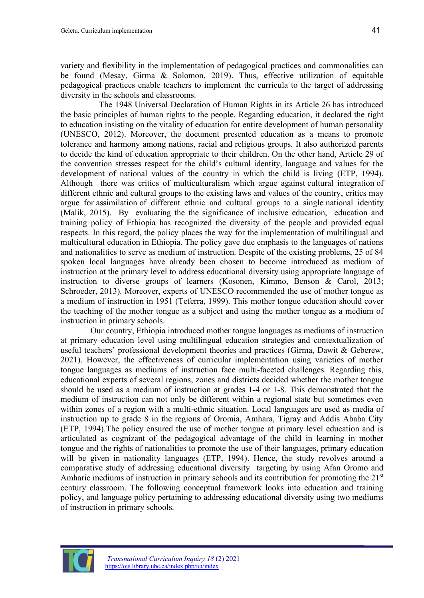variety and flexibility in the implementation of pedagogical practices and commonalities can be found (Mesay, Girma & Solomon, 2019). Thus, effective utilization of equitable pedagogical practices enable teachers to implement the curricula to the target of addressing diversity in the schools and classrooms.

The 1948 Universal Declaration of Human Rights in its Article 26 has introduced the basic principles of human rights to the people. Regarding education, it declared the right to education insisting on the vitality of education for entire development of human personality (UNESCO, 2012). Moreover, the document presented education as a means to promote tolerance and harmony among nations, racial and religious groups. It also authorized parents to decide the kind of education appropriate to their children. On the other hand, Article 29 of the convention stresses respect for the child's cultural identity, language and values for the development of national values of the country in which the child is living (ETP, 1994). Although there was critics of multiculturalism which argue against [cultural integration](https://en.wikipedia.org/wiki/Social_integration) of different ethnic and cultural groups to the existing laws and values of the country, critics may argue for [assimilation](https://en.wikipedia.org/wiki/Cultural_assimilation) of different ethnic and cultural groups to a single [national identity](https://en.wikipedia.org/wiki/National_identity) (Malik, 2015). By evaluating the the significance of inclusive education, education and training policy of Ethiopia has recognized the diversity of the people and provided equal respects. In this regard, the policy places the way for the implementation of multilingual and multicultural education in Ethiopia. The policy gave due emphasis to the languages of nations and nationalities to serve as medium of instruction. Despite of the existing problems, 25 of 84 spoken local languages have already been chosen to become introduced as medium of instruction at the primary level to address educational diversity using appropriate language of instruction to diverse groups of learners (Kosonen, Kimmo, Benson & Carol, 2013; Schroeder, 2013). Moreover, experts of UNESCO recommended the use of mother tongue as a medium of instruction in 1951 (Teferra, 1999). This mother tongue education should cover the teaching of the mother tongue as a subject and using the mother tongue as a medium of instruction in primary schools.

Our country, Ethiopia introduced mother tongue languages as mediums of instruction at primary education level using multilingual education strategies and contextualization of useful teachers' professional development theories and practices (Girma, Dawit & Geberew, 2021). However, the effectiveness of curricular implementation using varieties of mother tongue languages as mediums of instruction face multi-faceted challenges. Regarding this, educational experts of several regions, zones and districts decided whether the mother tongue should be used as a medium of instruction at grades 1-4 or 1-8. This demonstrated that the medium of instruction can not only be different within a regional state but sometimes even within zones of a region with a multi-ethnic situation. Local languages are used as media of instruction up to grade 8 in the regions of Oromia, Amhara, Tigray and Addis Ababa City (ETP, 1994).The policy ensured the use of mother tongue at primary level education and is articulated as cognizant of the pedagogical advantage of the child in learning in mother tongue and the rights of nationalities to promote the use of their languages, primary education will be given in nationality languages (ETP, 1994). Hence, the study revolves around a comparative study of addressing educational diversity targeting by using Afan Oromo and Amharic mediums of instruction in primary schools and its contribution for promoting the 21<sup>st</sup> century classroom. The following conceptual framework looks into education and training policy, and language policy pertaining to addressing educational diversity using two mediums of instruction in primary schools.

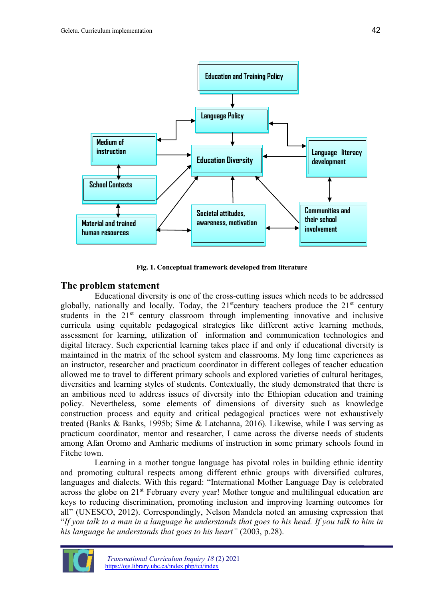

**Fig. 1. Conceptual framework developed from literature**

#### **The problem statement**

Educational diversity is one of the cross-cutting issues which needs to be addressed globally, nationally and locally. Today, the  $21<sup>st</sup>$  century teachers produce the  $21<sup>st</sup>$  century students in the 21<sup>st</sup> century classroom through implementing innovative and inclusive curricula using equitable pedagogical strategies like different active learning methods, assessment for learning, utilization of information and communication technologies and digital literacy. Such experiential learning takes place if and only if educational diversity is maintained in the matrix of the school system and classrooms. My long time experiences as an instructor, researcher and practicum coordinator in different colleges of teacher education allowed me to travel to different primary schools and explored varieties of cultural heritages, diversities and learning styles of students. Contextually, the study demonstrated that there is an ambitious need to address issues of diversity into the Ethiopian education and training policy. Nevertheless, some elements of dimensions of diversity such as knowledge construction process and equity and critical pedagogical practices were not exhaustively treated (Banks & Banks, 1995b; Sime & Latchanna, 2016). Likewise, while I was serving as practicum coordinator, mentor and researcher, I came across the diverse needs of students among Afan Oromo and Amharic mediums of instruction in some primary schools found in Fitche town.

Learning in a mother tongue language has pivotal roles in building ethnic identity and promoting cultural respects among different ethnic groups with diversified cultures, languages and dialects. With this regard: "International Mother Language Day is celebrated across the globe on  $21^{st}$  February every year! Mother tongue and multilingual education are keys to reducing discrimination, promoting inclusion and improving learning outcomes for all" (UNESCO, 2012). Correspondingly, Nelson Mandela noted an amusing expression that "*If you talk to a man in a language he understands that goes to his head. If you talk to him in his language he understands that goes to his heart"* (2003, p.28).

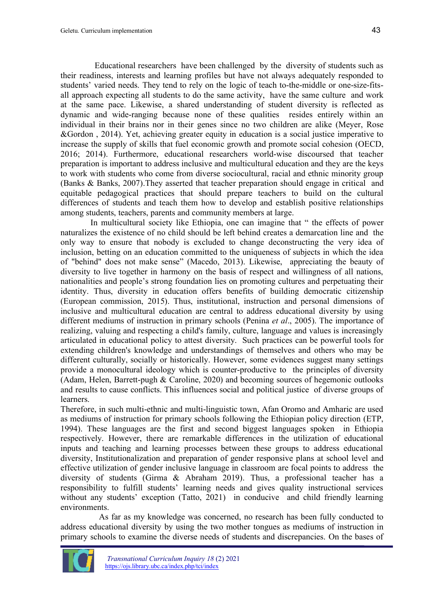Educational researchers have been challenged by the diversity of students such as their readiness, interests and learning profiles but have not always adequately responded to students' varied needs. They tend to rely on the logic of teach to-the-middle or one-size-fitsall approach expecting all students to do the same activity, have the same culture and work at the same pace. Likewise, a shared understanding of student diversity is reflected as dynamic and wide-ranging because none of these qualities resides entirely within an individual in their brains nor in their genes since no two children are alike (Meyer, Rose &Gordon , 2014). Yet, achieving greater equity in education is a social justice imperative to increase the supply of skills that fuel economic growth and promote social cohesion (OECD, 2016; 2014). Furthermore, educational researchers world-wise discoursed that teacher preparation is important to address inclusive and multicultural education and they are the keys to work with students who come from diverse sociocultural, racial and ethnic minority group (Banks & Banks, 2007).They asserted that teacher preparation should engage in critical and equitable pedagogical practices that should prepare teachers to build on the cultural differences of students and teach them how to develop and establish positive relationships among students, teachers, parents and community members at large.

In multicultural society like Ethiopia, one can imagine that " the effects of power naturalizes the existence of no child should be left behind creates a demarcation line and the only way to ensure that nobody is excluded to change deconstructing the very idea of inclusion, betting on an education committed to the uniqueness of subjects in which the idea of "behind" does not make sense" (Macedo, 2013). Likewise, appreciating the beauty of diversity to live together in harmony on the basis of respect and willingness of all nations, nationalities and people's strong foundation lies on promoting cultures and perpetuating their identity. Thus, diversity in education offers benefits of building democratic citizenship (European commission, 2015). Thus, institutional, instruction and personal dimensions of inclusive and multicultural education are central to address educational diversity by using different mediums of instruction in primary schools (Penina *et al*., 2005). The importance of realizing, valuing and respecting a child's family, culture, language and values is increasingly articulated in educational policy to attest diversity. Such practices can be powerful tools for extending children's knowledge and understandings of themselves and others who may be different culturally, socially or historically. However, some evidences suggest many settings provide a monocultural ideology which is counter-productive to the principles of diversity (Adam, Helen, Barrett-pugh & Caroline, 2020) and becoming sources of hegemonic outlooks and results to cause conflicts. This influences social and political justice of diverse groups of learners.

Therefore, in such multi-ethnic and multi-linguistic town, Afan Oromo and Amharic are used as mediums of instruction for primary schools following the Ethiopian policy direction (ETP, 1994). These languages are the first and second biggest languages spoken in Ethiopia respectively. However, there are remarkable differences in the utilization of educational inputs and teaching and learning processes between these groups to address educational diversity, Institutionalization and preparation of gender responsive plans at school level and effective utilization of gender inclusive language in classroom are focal points to address the diversity of students (Girma & Abraham 2019). Thus, a professional teacher has a responsibility to fulfill students' learning needs and gives quality instructional services without any students' exception (Tatto, 2021) in conducive and child friendly learning environments.

As far as my knowledge was concerned, no research has been fully conducted to address educational diversity by using the two mother tongues as mediums of instruction in primary schools to examine the diverse needs of students and discrepancies. On the bases of

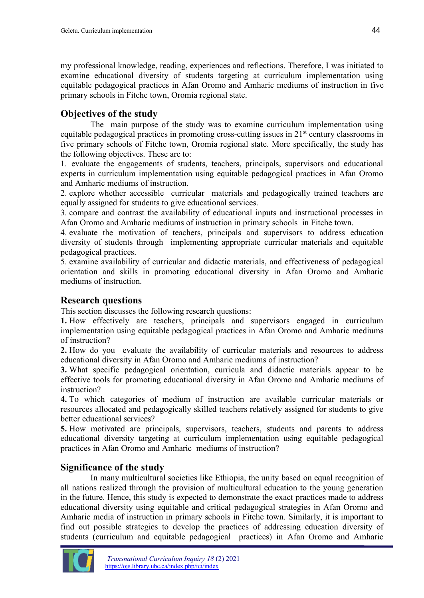my professional knowledge, reading, experiences and reflections. Therefore, I was initiated to examine educational diversity of students targeting at curriculum implementation using equitable pedagogical practices in Afan Oromo and Amharic mediums of instruction in five primary schools in Fitche town, Oromia regional state.

# **Objectives of the study**

The main purpose of the study was to examine curriculum implementation using equitable pedagogical practices in promoting cross-cutting issues in  $21<sup>st</sup>$  century classrooms in five primary schools of Fitche town, Oromia regional state. More specifically, the study has the following objectives. These are to:

1. evaluate the engagements of students, teachers, principals, supervisors and educational experts in curriculum implementation using equitable pedagogical practices in Afan Oromo and Amharic mediums of instruction.

2. explore whether accessible curricular materials and pedagogically trained teachers are equally assigned for students to give educational services.

3. compare and contrast the availability of educational inputs and instructional processes in Afan Oromo and Amharic mediums of instruction in primary schools in Fitche town.

4. evaluate the motivation of teachers, principals and supervisors to address education diversity of students through implementing appropriate curricular materials and equitable pedagogical practices.

5. examine availability of curricular and didactic materials, and effectiveness of pedagogical orientation and skills in promoting educational diversity in Afan Oromo and Amharic mediums of instruction.

#### **Research questions**

This section discusses the following research questions:

**1.** How effectively are teachers, principals and supervisors engaged in curriculum implementation using equitable pedagogical practices in Afan Oromo and Amharic mediums of instruction?

**2.** How do you evaluate the availability of curricular materials and resources to address educational diversity in Afan Oromo and Amharic mediums of instruction?

**3.** What specific pedagogical orientation, curricula and didactic materials appear to be effective tools for promoting educational diversity in Afan Oromo and Amharic mediums of instruction?

**4.** To which categories of medium of instruction are available curricular materials or resources allocated and pedagogically skilled teachers relatively assigned for students to give better educational services?

**5.** How motivated are principals, supervisors, teachers, students and parents to address educational diversity targeting at curriculum implementation using equitable pedagogical practices in Afan Oromo and Amharic mediums of instruction?

# **Significance of the study**

In many multicultural societies like Ethiopia, the unity based on equal recognition of all nations realized through the provision of multicultural education to the young generation in the future. Hence, this study is expected to demonstrate the exact practices made to address educational diversity using equitable and critical pedagogical strategies in Afan Oromo and Amharic media of instruction in primary schools in Fitche town. Similarly, it is important to find out possible strategies to develop the practices of addressing education diversity of students (curriculum and equitable pedagogical practices) in Afan Oromo and Amharic

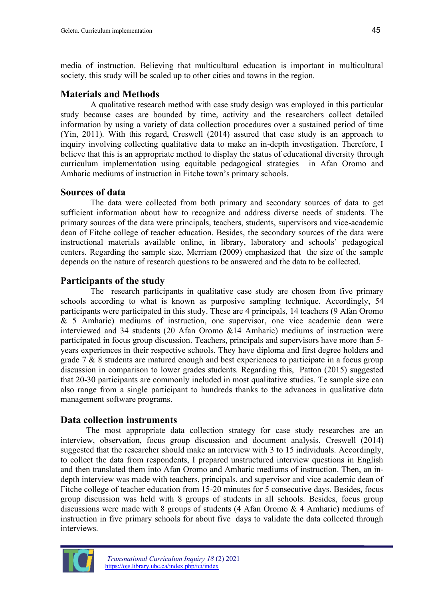media of instruction. Believing that multicultural education is important in multicultural society, this study will be scaled up to other cities and towns in the region.

#### **Materials and Methods**

A qualitative research method with case study design was employed in this particular study because cases are bounded by time, activity and the researchers collect detailed information by using a variety of data collection procedures over a sustained period of time (Yin, 2011). With this regard, Creswell (2014) assured that case study is an approach to inquiry involving collecting qualitative data to make an in-depth investigation. Therefore, I believe that this is an appropriate method to display the status of educational diversity through curriculum implementation using equitable pedagogical strategies in Afan Oromo and Amharic mediums of instruction in Fitche town's primary schools.

#### **Sources of data**

The data were collected from both primary and secondary sources of data to get sufficient information about how to recognize and address diverse needs of students. The primary sources of the data were principals, teachers, students, supervisors and vice-academic dean of Fitche college of teacher education. Besides, the secondary sources of the data were instructional materials available online, in library, laboratory and schools' pedagogical centers. Regarding the sample size, Merriam (2009) emphasized that the size of the sample depends on the nature of research questions to be answered and the data to be collected.

# **Participants of the study**

The research participants in qualitative case study are chosen from five primary schools according to what is known as purposive sampling technique. Accordingly, 54 participants were participated in this study. These are 4 principals, 14 teachers (9 Afan Oromo & 5 Amharic) mediums of instruction, one supervisor, one vice academic dean were interviewed and 34 students (20 Afan Oromo &14 Amharic) mediums of instruction were participated in focus group discussion. Teachers, principals and supervisors have more than 5 years experiences in their respective schools. They have diploma and first degree holders and grade 7 & 8 students are matured enough and best experiences to participate in a focus group discussion in comparison to lower grades students. Regarding this, Patton (2015) suggested that 20-30 participants are commonly included in most qualitative studies. Te sample size can also range from a single participant to hundreds thanks to the advances in qualitative data management software programs.

# **Data collection instruments**

The most appropriate data collection strategy for case study researches are an interview, observation, focus group discussion and document analysis. Creswell (2014) suggested that the researcher should make an interview with 3 to 15 individuals. Accordingly, to collect the data from respondents, I prepared unstructured interview questions in English and then translated them into Afan Oromo and Amharic mediums of instruction. Then, an indepth interview was made with teachers, principals, and supervisor and vice academic dean of Fitche college of teacher education from 15-20 minutes for 5 consecutive days. Besides, focus group discussion was held with 8 groups of students in all schools. Besides, focus group discussions were made with 8 groups of students (4 Afan Oromo & 4 Amharic) mediums of instruction in five primary schools for about five days to validate the data collected through interviews.

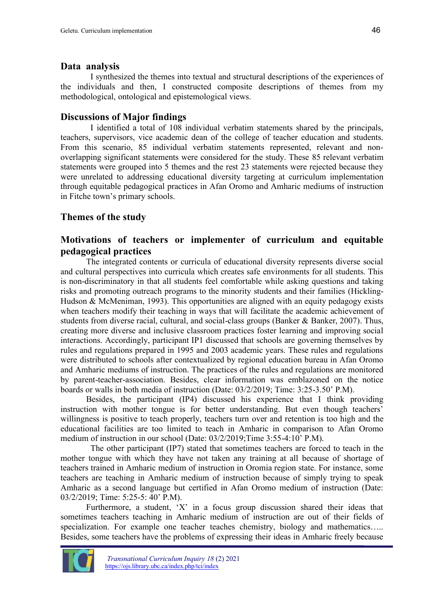#### **Data analysis**

I synthesized the themes into textual and structural descriptions of the experiences of the individuals and then, I constructed composite descriptions of themes from my methodological, ontological and epistemological views.

# **Discussions of Major findings**

I identified a total of 108 individual verbatim statements shared by the principals, teachers, supervisors, vice academic dean of the college of teacher education and students. From this scenario, 85 individual verbatim statements represented, relevant and nonoverlapping significant statements were considered for the study. These 85 relevant verbatim statements were grouped into 5 themes and the rest 23 statements were rejected because they were unrelated to addressing educational diversity targeting at curriculum implementation through equitable pedagogical practices in Afan Oromo and Amharic mediums of instruction in Fitche town's primary schools.

# **Themes of the study**

# **Motivations of teachers or implementer of curriculum and equitable pedagogical practices**

The integrated contents or curricula of educational diversity represents diverse social and cultural perspectives into curricula which creates safe environments for all students. This is non-discriminatory in that all students feel comfortable while asking questions and taking risks and promoting outreach programs to the minority students and their families (Hickling-Hudson & McMeniman, 1993). This opportunities are aligned with an equity pedagogy exists when teachers modify their teaching in ways that will facilitate the academic achievement of students from diverse racial, cultural, and social-class groups (Banker & Banker, 2007). Thus, creating more diverse and inclusive classroom practices foster learning and improving social interactions. Accordingly, participant IP1 discussed that schools are governing themselves by rules and regulations prepared in 1995 and 2003 academic years. These rules and regulations were distributed to schools after contextualized by regional education bureau in Afan Oromo and Amharic mediums of instruction. The practices of the rules and regulations are monitored by parent-teacher-association. Besides, clear information was emblazoned on the notice boards or walls in both media of instruction (Date: 03/2/2019; Time: 3:25-3.50' P.M).

Besides, the participant (IP4) discussed his experience that I think providing instruction with mother tongue is for better understanding. But even though teachers' willingness is positive to teach properly, teachers turn over and retention is too high and the educational facilities are too limited to teach in Amharic in comparison to Afan Oromo medium of instruction in our school (Date: 03/2/2019;Time 3:55-4:10' P.M).

The other participant (IP7) stated that sometimes teachers are forced to teach in the mother tongue with which they have not taken any training at all because of shortage of teachers trained in Amharic medium of instruction in Oromia region state. For instance, some teachers are teaching in Amharic medium of instruction because of simply trying to speak Amharic as a second language but certified in Afan Oromo medium of instruction (Date: 03/2/2019; Time: 5:25-5: 40' P.M).

Furthermore, a student, 'X' in a focus group discussion shared their ideas that sometimes teachers teaching in Amharic medium of instruction are out of their fields of specialization. For example one teacher teaches chemistry, biology and mathematics..... Besides, some teachers have the problems of expressing their ideas in Amharic freely because

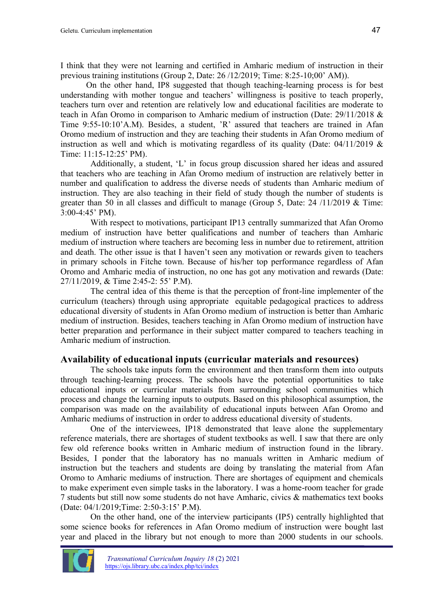I think that they were not learning and certified in Amharic medium of instruction in their previous training institutions (Group 2, Date: 26 /12/2019; Time: 8:25-10;00' AM)).

On the other hand, IP8 suggested that though teaching-learning process is for best understanding with mother tongue and teachers' willingness is positive to teach properly, teachers turn over and retention are relatively low and educational facilities are moderate to teach in Afan Oromo in comparison to Amharic medium of instruction (Date: 29/11/2018 & Time 9:55-10:10'A.M). Besides, a student, 'R' assured that teachers are trained in Afan Oromo medium of instruction and they are teaching their students in Afan Oromo medium of instruction as well and which is motivating regardless of its quality (Date:  $04/11/2019$  & Time: 11:15-12:25' PM).

Additionally, a student, 'L' in focus group discussion shared her ideas and assured that teachers who are teaching in Afan Oromo medium of instruction are relatively better in number and qualification to address the diverse needs of students than Amharic medium of instruction. They are also teaching in their field of study though the number of students is greater than 50 in all classes and difficult to manage (Group 5, Date: 24 /11/2019 & Time: 3:00-4:45' PM).

With respect to motivations, participant IP13 centrally summarized that Afan Oromo medium of instruction have better qualifications and number of teachers than Amharic medium of instruction where teachers are becoming less in number due to retirement, attrition and death. The other issue is that I haven't seen any motivation or rewards given to teachers in primary schools in Fitche town. Because of his/her top performance regardless of Afan Oromo and Amharic media of instruction, no one has got any motivation and rewards (Date: 27/11/2019, & Time 2:45-2: 55' P.M).

The central idea of this theme is that the perception of front-line implementer of the curriculum (teachers) through using appropriate equitable pedagogical practices to address educational diversity of students in Afan Oromo medium of instruction is better than Amharic medium of instruction. Besides, teachers teaching in Afan Oromo medium of instruction have better preparation and performance in their subject matter compared to teachers teaching in Amharic medium of instruction.

#### **Availability of educational inputs (curricular materials and resources)**

The schools take inputs form the environment and then transform them into outputs through teaching-learning process. The schools have the potential opportunities to take educational inputs or curricular materials from surrounding school communities which process and change the learning inputs to outputs. Based on this philosophical assumption, the comparison was made on the availability of educational inputs between Afan Oromo and Amharic mediums of instruction in order to address educational diversity of students.

One of the interviewees, IP18 demonstrated that leave alone the supplementary reference materials, there are shortages of student textbooks as well. I saw that there are only few old reference books written in Amharic medium of instruction found in the library. Besides, I ponder that the laboratory has no manuals written in Amharic medium of instruction but the teachers and students are doing by translating the material from Afan Oromo to Amharic mediums of instruction. There are shortages of equipment and chemicals to make experiment even simple tasks in the laboratory. I was a home-room teacher for grade 7 students but still now some students do not have Amharic, civics & mathematics text books (Date: 04/1/2019;Time: 2:50-3:15' P.M).

On the other hand, one of the interview participants (IP5) centrally highlighted that some science books for references in Afan Oromo medium of instruction were bought last year and placed in the library but not enough to more than 2000 students in our schools.

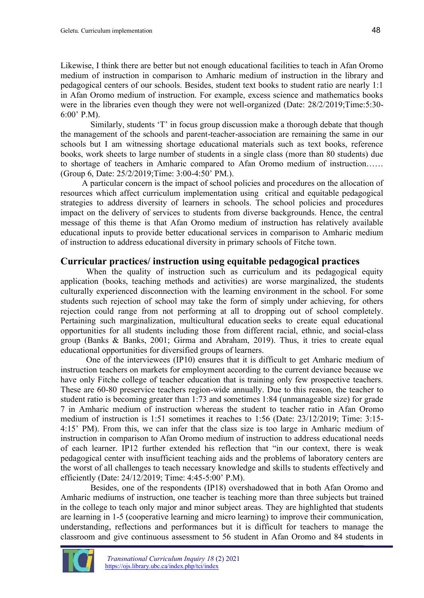Likewise, I think there are better but not enough educational facilities to teach in Afan Oromo medium of instruction in comparison to Amharic medium of instruction in the library and pedagogical centers of our schools. Besides, student text books to student ratio are nearly 1:1 in Afan Oromo medium of instruction. For example, excess science and mathematics books were in the libraries even though they were not well-organized (Date: 28/2/2019;Time:5:30- 6:00' P.M).

Similarly, students 'T' in focus group discussion make a thorough debate that though the management of the schools and parent-teacher-association are remaining the same in our schools but I am witnessing shortage educational materials such as text books, reference books, work sheets to large number of students in a single class (more than 80 students) due to shortage of teachers in Amharic compared to Afan Oromo medium of instruction…… (Group 6, Date: 25/2/2019;Time: 3:00-4:50' PM.).

A particular concern is the impact of school policies and procedures on the allocation of resources which affect curriculum implementation using critical and equitable pedagogical strategies to address diversity of learners in schools. The school policies and procedures impact on the delivery of services to students from diverse backgrounds. Hence, the central message of this theme is that Afan Oromo medium of instruction has relatively available educational inputs to provide better educational services in comparison to Amharic medium of instruction to address educational diversity in primary schools of Fitche town.

#### **Curricular practices/ instruction using equitable pedagogical practices**

When the quality of instruction such as curriculum and its pedagogical equity application (books, teaching methods and activities) are worse marginalized, the students culturally experienced disconnection with the learning environment in the school. For some students such rejection of school may take the form of simply under achieving, for others rejection could range from not performing at all to dropping out of school completely. Pertaining such marginalization, multicultural education seeks to create equal educational opportunities for all students including those from different racial, ethnic, and social-class group (Banks & Banks, 2001; Girma and Abraham, 2019). Thus, it tries to create equal educational opportunities for diversified groups of learners.

One of the interviewees (IP10) ensures that it is difficult to get Amharic medium of instruction teachers on markets for employment according to the current deviance because we have only Fitche college of teacher education that is training only few prospective teachers. These are 60-80 preservice teachers region-wide annually. Due to this reason, the teacher to student ratio is becoming greater than 1:73 and sometimes 1:84 (unmanageable size) for grade 7 in Amharic medium of instruction whereas the student to teacher ratio in Afan Oromo medium of instruction is 1:51 sometimes it reaches to 1:56 (Date: 23/12/2019; Time: 3:15- 4:15' PM). From this, we can infer that the class size is too large in Amharic medium of instruction in comparison to Afan Oromo medium of instruction to address educational needs of each learner. IP12 further extended his reflection that "in our context, there is weak pedagogical center with insufficient teaching aids and the problems of laboratory centers are the worst of all challenges to teach necessary knowledge and skills to students effectively and efficiently (Date: 24/12/2019; Time: 4:45-5:00' P.M).

Besides, one of the respondents (IP18) overshadowed that in both Afan Oromo and Amharic mediums of instruction, one teacher is teaching more than three subjects but trained in the college to teach only major and minor subject areas. They are highlighted that students are learning in 1-5 (cooperative learning and micro learning) to improve their communication, understanding, reflections and performances but it is difficult for teachers to manage the classroom and give continuous assessment to 56 student in Afan Oromo and 84 students in

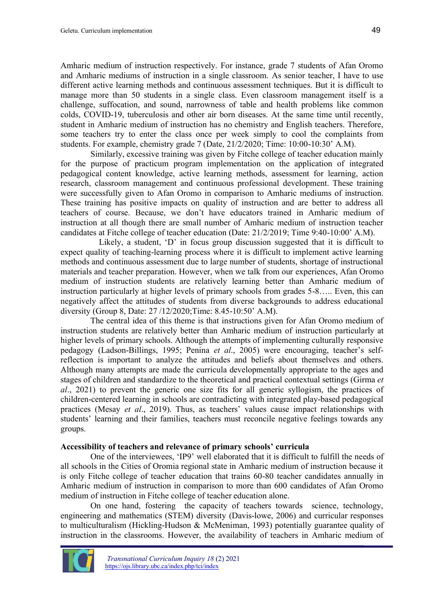Amharic medium of instruction respectively. For instance, grade 7 students of Afan Oromo and Amharic mediums of instruction in a single classroom. As senior teacher, I have to use different active learning methods and continuous assessment techniques. But it is difficult to manage more than 50 students in a single class. Even classroom management itself is a challenge, suffocation, and sound, narrowness of table and health problems like common colds, COVID-19, tuberculosis and other air born diseases. At the same time until recently, student in Amharic medium of instruction has no chemistry and English teachers. Therefore, some teachers try to enter the class once per week simply to cool the complaints from students. For example, chemistry grade 7 (Date, 21/2/2020; Time: 10:00-10:30' A.M).

Similarly, excessive training was given by Fitche college of teacher education mainly for the purpose of practicum program implementation on the application of integrated pedagogical content knowledge, active learning methods, assessment for learning, action research, classroom management and continuous professional development. These training were successfully given to Afan Oromo in comparison to Amharic mediums of instruction. These training has positive impacts on quality of instruction and are better to address all teachers of course. Because, we don't have educators trained in Amharic medium of instruction at all though there are small number of Amharic medium of instruction teacher candidates at Fitche college of teacher education (Date: 21/2/2019; Time 9:40-10:00' A.M).

Likely, a student, 'D' in focus group discussion suggested that it is difficult to expect quality of teaching-learning process where it is difficult to implement active learning methods and continuous assessment due to large number of students, shortage of instructional materials and teacher preparation. However, when we talk from our experiences, Afan Oromo medium of instruction students are relatively learning better than Amharic medium of instruction particularly at higher levels of primary schools from grades 5-8….. Even, this can negatively affect the attitudes of students from diverse backgrounds to address educational diversity (Group 8, Date: 27 /12/2020;Time: 8.45-10:50' A.M).

The central idea of this theme is that instructions given for Afan Oromo medium of instruction students are relatively better than Amharic medium of instruction particularly at higher levels of primary schools. Although the attempts of implementing culturally responsive pedagogy (Ladson-Billings, 1995; Penina *et al*., 2005) were encouraging, teacher's selfreflection is important to analyze the attitudes and beliefs about themselves and others. Although many attempts are made the curricula developmentally appropriate to the ages and stages of children and standardize to the theoretical and practical contextual settings (Girma *et al*., 2021) to prevent the generic one size fits for all generic syllogism, the practices of children-centered learning in schools are contradicting with integrated play-based pedagogical practices (Mesay *et al*., 2019). Thus, as teachers' values cause impact relationships with students' learning and their families, teachers must reconcile negative feelings towards any groups.

#### **Accessibility of teachers and relevance of primary schools' curricula**

One of the interviewees, 'IP9' well elaborated that it is difficult to fulfill the needs of all schools in the Cities of Oromia regional state in Amharic medium of instruction because it is only Fitche college of teacher education that trains 60-80 teacher candidates annually in Amharic medium of instruction in comparison to more than 600 candidates of Afan Oromo medium of instruction in Fitche college of teacher education alone.

On one hand, fostering the capacity of teachers towards science, technology, engineering and mathematics (STEM) diversity (Davis-lowe, 2006) and curricular responses to multiculturalism (Hickling-Hudson & McMeniman, 1993) potentially guarantee quality of instruction in the classrooms. However, the availability of teachers in Amharic medium of

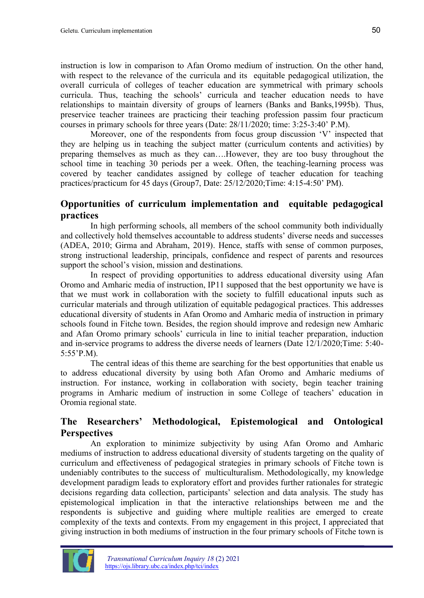instruction is low in comparison to Afan Oromo medium of instruction. On the other hand, with respect to the relevance of the curricula and its equitable pedagogical utilization, the overall curricula of colleges of teacher education are symmetrical with primary schools curricula. Thus, teaching the schools' curricula and teacher education needs to have relationships to maintain diversity of groups of learners (Banks and Banks,1995b). Thus, preservice teacher trainees are practicing their teaching profession passim four practicum courses in primary schools for three years (Date: 28/11/2020; time: 3:25-3:40' P.M).

Moreover, one of the respondents from focus group discussion 'V' inspected that they are helping us in teaching the subject matter (curriculum contents and activities) by preparing themselves as much as they can….However, they are too busy throughout the school time in teaching 30 periods per a week. Often, the teaching-learning process was covered by teacher candidates assigned by college of teacher education for teaching practices/practicum for 45 days (Group7, Date: 25/12/2020;Time: 4:15-4:50' PM).

#### **Opportunities of curriculum implementation and equitable pedagogical practices**

In high performing schools, all members of the school community both individually and collectively hold themselves accountable to address students' diverse needs and successes (ADEA, 2010; Girma and Abraham, 2019). Hence, staffs with sense of common purposes, strong instructional leadership, principals, confidence and respect of parents and resources support the school's vision, mission and destinations.

In respect of providing opportunities to address educational diversity using Afan Oromo and Amharic media of instruction, IP11 supposed that the best opportunity we have is that we must work in collaboration with the society to fulfill educational inputs such as curricular materials and through utilization of equitable pedagogical practices. This addresses educational diversity of students in Afan Oromo and Amharic media of instruction in primary schools found in Fitche town. Besides, the region should improve and redesign new Amharic and Afan Oromo primary schools' curricula in line to initial teacher preparation, induction and in-service programs to address the diverse needs of learners (Date 12/1/2020;Time: 5:40- 5:55'P.M).

The central ideas of this theme are searching for the best opportunities that enable us to address educational diversity by using both Afan Oromo and Amharic mediums of instruction. For instance, working in collaboration with society, begin teacher training programs in Amharic medium of instruction in some College of teachers' education in Oromia regional state.

# **The Researchers' Methodological, Epistemological and Ontological Perspectives**

An exploration to minimize subjectivity by using Afan Oromo and Amharic mediums of instruction to address educational diversity of students targeting on the quality of curriculum and effectiveness of pedagogical strategies in primary schools of Fitche town is undeniably contributes to the success of multiculturalism. Methodologically, my knowledge development paradigm leads to exploratory effort and provides further rationales for strategic decisions regarding data collection, participants' selection and data analysis. The study has epistemological implication in that the interactive relationships between me and the respondents is subjective and guiding where multiple realities are emerged to create complexity of the texts and contexts. From my engagement in this project, I appreciated that giving instruction in both mediums of instruction in the four primary schools of Fitche town is

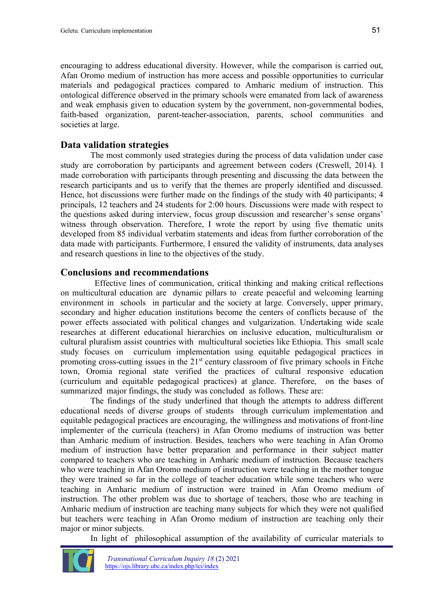encouraging to address educational diversity. However, while the comparison is carried out, Afan Oromo medium of instruction has more access and possible opportunities to curricular materials and pedagogical practices compared to Amharic medium of instruction. This ontological difference observed in the primary schools were emanated from lack of awareness and weak emphasis given to education system by the government, non-governmental bodies, faith-based organization, parent-teacher-association, parents, school communities and societies at large.

#### **Data validation strategies**

The most commonly used strategies during the process of data validation under case study are corroboration by participants and agreement between coders (Creswell, 2014). I made corroboration with participants through presenting and discussing the data between the research participants and us to verify that the themes are properly identified and discussed. Hence, hot discussions were further made on the findings of the study with 40 participants; 4 principals, 12 teachers and 24 students for 2:00 hours. Discussions were made with respect to the questions asked during interview, focus group discussion and researcher's sense organs' witness through observation. Therefore, I wrote the report by using five thematic units developed from 85 individual verbatim statements and ideas from further corroboration of the data made with participants. Furthermore, I ensured the validity of instruments, data analyses and research questions in line to the objectives of the study.

#### **Conclusions and recommendations**

Effective lines of communication, critical thinking and making critical reflections on multicultural education are dynamic pillars to create peaceful and welcoming learning environment in schools in particular and the society at large. Conversely, upper primary, secondary and higher education institutions become the centers of conflicts because of the power effects associated with political changes and vulgarization. Undertaking wide scale researches at different educational hierarchies on inclusive education, multiculturalism or cultural pluralism assist countries with multicultural societies like Ethiopia. This small scale study focuses on curriculum implementation using equitable pedagogical practices in promoting cross-cutting issues in the  $21<sup>st</sup>$  century classroom of five primary schools in Fitche town, Oromia regional state verified the practices of cultural responsive education (curriculum and equitable pedagogical practices) at glance. Therefore, on the bases of summarized major findings, the study was concluded as follows. These are:

The findings of the study underlined that though the attempts to address different educational needs of diverse groups of students through curriculum implementation and equitable pedagogical practices are encouraging, the willingness and motivations of front-line implementer of the curricula (teachers) in Afan Oromo mediums of instruction was better than Amharic medium of instruction. Besides, teachers who were teaching in Afan Oromo medium of instruction have better preparation and performance in their subject matter compared to teachers who are teaching in Amharic medium of instruction. Because teachers who were teaching in Afan Oromo medium of instruction were teaching in the mother tongue they were trained so far in the college of teacher education while some teachers who were teaching in Amharic medium of instruction were trained in Afan Oromo medium of instruction. The other problem was due to shortage of teachers, those who are teaching in Amharic medium of instruction are teaching many subjects for which they were not qualified but teachers were teaching in Afan Oromo medium of instruction are teaching only their major or minor subjects.

In light of philosophical assumption of the availability of curricular materials to

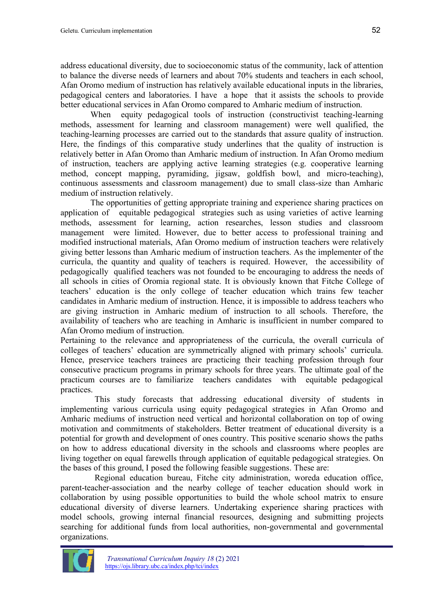address educational diversity, due to socioeconomic status of the community, lack of attention to balance the diverse needs of learners and about 70% students and teachers in each school, Afan Oromo medium of instruction has relatively available educational inputs in the libraries, pedagogical centers and laboratories. I have a hope that it assists the schools to provide better educational services in Afan Oromo compared to Amharic medium of instruction.

When equity pedagogical tools of instruction (constructivist teaching-learning methods, assessment for learning and classroom management) were well qualified, the teaching-learning processes are carried out to the standards that assure quality of instruction. Here, the findings of this comparative study underlines that the quality of instruction is relatively better in Afan Oromo than Amharic medium of instruction. In Afan Oromo medium of instruction, teachers are applying active learning strategies (e.g. cooperative learning method, concept mapping, pyramiding, jigsaw, goldfish bowl, and micro-teaching), continuous assessments and classroom management) due to small class-size than Amharic medium of instruction relatively.

The opportunities of getting appropriate training and experience sharing practices on application of equitable pedagogical strategies such as using varieties of active learning methods, assessment for learning, action researches, lesson studies and classroom management were limited. However, due to better access to professional training and modified instructional materials, Afan Oromo medium of instruction teachers were relatively giving better lessons than Amharic medium of instruction teachers. As the implementer of the curricula, the quantity and quality of teachers is required. However, the accessibility of pedagogically qualified teachers was not founded to be encouraging to address the needs of all schools in cities of Oromia regional state. It is obviously known that Fitche College of teachers' education is the only college of teacher education which trains few teacher candidates in Amharic medium of instruction. Hence, it is impossible to address teachers who are giving instruction in Amharic medium of instruction to all schools. Therefore, the availability of teachers who are teaching in Amharic is insufficient in number compared to Afan Oromo medium of instruction.

Pertaining to the relevance and appropriateness of the curricula, the overall curricula of colleges of teachers' education are symmetrically aligned with primary schools' curricula. Hence, preservice teachers trainees are practicing their teaching profession through four consecutive practicum programs in primary schools for three years. The ultimate goal of the practicum courses are to familiarize teachers candidates with equitable pedagogical practices.

This study forecasts that addressing educational diversity of students in implementing various curricula using equity pedagogical strategies in Afan Oromo and Amharic mediums of instruction need vertical and horizontal collaboration on top of owing motivation and commitments of stakeholders. Better treatment of educational diversity is a potential for growth and development of ones country. This positive scenario shows the paths on how to address educational diversity in the schools and classrooms where peoples are living together on equal farewells through application of equitable pedagogical strategies. On the bases of this ground, I posed the following feasible suggestions. These are:

Regional education bureau, Fitche city administration, woreda education office, parent-teacher-association and the nearby college of teacher education should work in collaboration by using possible opportunities to build the whole school matrix to ensure educational diversity of diverse learners. Undertaking experience sharing practices with model schools, growing internal financial resources, designing and submitting projects searching for additional funds from local authorities, non-governmental and governmental organizations.

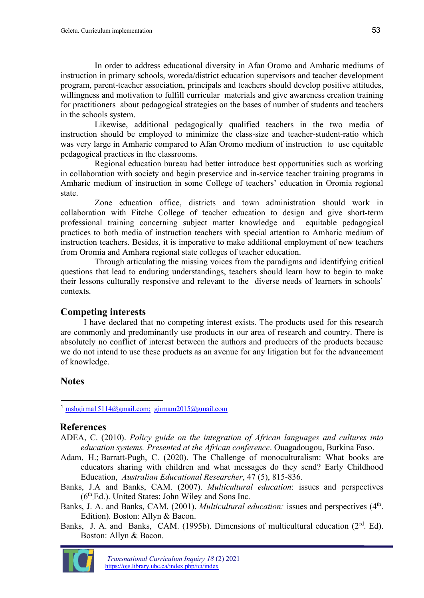In order to address educational diversity in Afan Oromo and Amharic mediums of instruction in primary schools, woreda/district education supervisors and teacher development program, parent-teacher association, principals and teachers should develop positive attitudes, willingness and motivation to fulfill curricular materials and give awareness creation training for practitioners about pedagogical strategies on the bases of number of students and teachers in the schools system.

Likewise, additional pedagogically qualified teachers in the two media of instruction should be employed to minimize the class-size and teacher-student-ratio which was very large in Amharic compared to Afan Oromo medium of instruction to use equitable pedagogical practices in the classrooms.

Regional education bureau had better introduce best opportunities such as working in collaboration with society and begin preservice and in-service teacher training programs in Amharic medium of instruction in some College of teachers' education in Oromia regional state.

Zone education office, districts and town administration should work in collaboration with Fitche College of teacher education to design and give short-term professional training concerning subject matter knowledge and equitable pedagogical practices to both media of instruction teachers with special attention to Amharic medium of instruction teachers. Besides, it is imperative to make additional employment of new teachers from Oromia and Amhara regional state colleges of teacher education.

Through articulating the missing voices from the paradigms and identifying critical questions that lead to enduring understandings, teachers should learn how to begin to make their lessons culturally responsive and relevant to the diverse needs of learners in schools' contexts.

#### **Competing interests**

I have declared that no competing interest exists. The products used for this research are commonly and predominantly use products in our area of research and country. There is absolutely no conflict of interest between the authors and producers of the products because we do not intend to use these products as an avenue for any litigation but for the advancement of knowledge.

# **Notes**

<sup>1</sup> [mshgirma15114@gmail.com;](mailto:mshgirma15114@gmail.com;) girmam2015@gmail.com

#### **References**

- ADEA, C. (2010). *Policy guide on the integration of African languages and cultures into education systems. Presented at the African conference*. Ouagadougou, Burkina Faso.
- [Adam, H.](https://eric.ed.gov/?redir=http://orcid.org/0000-0002-3005-7142); [Barratt-Pugh, C.](https://eric.ed.gov/?redir=http://orcid.org/0000-0002-1470-0089) (2020). The Challenge of monoculturalism: What books are educators sharing with children and what messages do they send? Early Childhood Education, *Australian Educational Researcher*, 47 (5), 815-836.
- Banks, J.A and Banks, CAM. (2007). *Multicultural education*: issues and perspectives (6<sup>th</sup> Ed.). United States: John Wiley and Sons Inc.

Banks, J. A. and Banks, CAM. (2001). *Multicultural education:* issues and perspectives (4<sup>th</sup>. Edition). Boston: Allyn & Bacon.

Banks, J. A. and Banks, CAM. (1995b). Dimensions of multicultural education  $(2^{rd}$ . Ed). Boston: Allyn & Bacon.

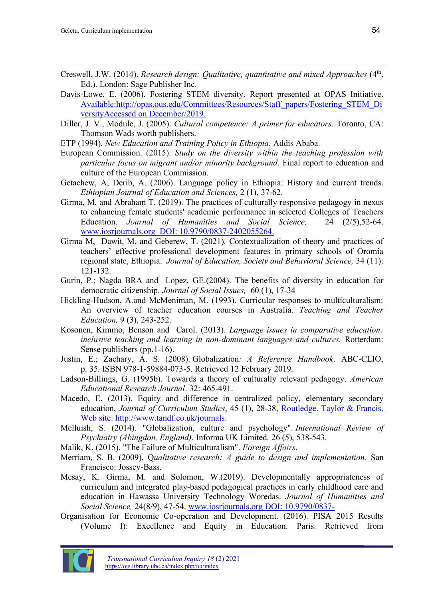- Creswell, J.W. (2014). *Research design: Qualitative, quantitative and mixed Approaches* (4<sup>th</sup>. Ed.). London: Sage Publisher Inc.
- Davis-Lowe, E. (2006). Fostering STEM diversity. Report presented at OPAS Initiative. Available:http://opas.ous.edu/Committees/Resources/Staff\_papers/Fostering\_STEM\_Di versityAccessed on December/2019.
- Diller, J. V., Module, J. (2005). *Cultural competence: A primer for educators*. Toronto, CA: Thomson Wads worth publishers.
- ETP (1994). *New Education and Training Policy in Ethiopia*, Addis Ababa.
- European Commission. (2015). *Study on the diversity within the teaching profession with particular focus on migrant and/or minority background*. Final report to education and culture of the European Commission.
- Getachew, A, Derib, A. (2006). Language policy in Ethiopia: History and current trends. *Ethiopian Journal of Education and Sciences,* 2 (1), 37-62.
- Girma, M. and Abraham T. (2019). The practices of culturally responsive pedagogy in nexus to enhancing female students' academic performance in selected Colleges of Teachers Education. *Journal of Humanities and Social Science,* 24 (2/5),52-64. www.iosrjournals.org DOI: 10.9790/0837-2402055264.
- Girma M, Dawit, M. and Geberew, T. (2021). Contextualization of theory and practices of teachers' effective professional development features in primary schools of Oromia regional state, Ethiopia. *Journal of Education, Society and Behavioral Science,* 34 (11): 121-132.
- Gurin, P.; Nagda BRA and Lopez, GE.(2004). The benefits of diversity in education for democratic citizenship. *Journal of Social Issues,* 60 (1), 17-34
- Hickling-Hudson, A.and McMeniman, M. (1993). Curricular responses to multiculturalism: An overview of teacher education courses in Australia. *Teaching and Teacher Education,* 9 (3), 243-252.
- Kosonen, Kimmo, Benson and Carol. (2013). *Language issues in comparative education: inclusive teaching and learning in non-dominant languages and cultures.* Rotterdam: Sense publishers (pp.1-16).
- Justin, E.; Zachary, A. S. (2008). Globalization*[: A Reference Handbook](https://books.google.com/books?id=9IOtZgbaQyIC&pg=PA35)*. ABC-CLIO, p. 35. [ISBN](https://en.wikipedia.org/wiki/ISBN_(identifier)) [978-1-59884-073-5.](https://en.wikipedia.org/wiki/Special:BookSources/978-1-59884-073-5) Retrieved 12 February 2019.
- Ladson-Billings, G. (1995b). Towards a theory of culturally relevant pedagogy. *American Educational Research Journal*. 32: 465-491.
- Macedo, E. (2013). Equity and difference in centralized policy, elementary secondary education, *Journal of Curriculum Studies*, 45 (1), 28-38, Routledge. Taylor & Francis, Web site:<http://www.tandf.co.uk/journals.>
- Melluish, S. (2014). "Globalization, culture and psychology". *International Review of Psychiatry (Abingdon, England)*. Informa UK Limited. 26 (5), 538-543.
- [Malik, K.](https://en.wikipedia.org/wiki/Kenan_Malik) (2015). ["The Failure of Multiculturalism".](https://www.foreignaffairs.com/articles/western-europe/failure-multiculturalism) *Foreign Affairs*.
- Merriam, S. B. (2009). Q*ualitative research: A guide to design and implementation.* San Francisco: Jossey-Bass.
- Mesay, K. Girma, M. and Solomon, W.(2019). Developmentally appropriateness of curriculum and integrated play-based pedagogical practices in early childhood care and education in Hawassa University Technology Woredas. *Journal of Humanities and Social Science,* 24(8/9), 47-54. www.iosrjournals.org DOI: 10.9790/0837-
- Organisation for Economic Co-operation and Development. (2016). PISA 2015 Results (Volume I): Excellence and Equity in Education. Paris. Retrieved from